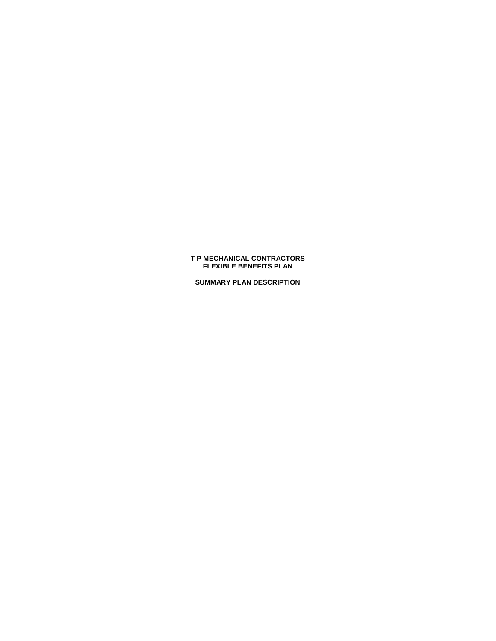# **T P MECHANICAL CONTRACTORS FLEXIBLE BENEFITS PLAN**

**SUMMARY PLAN DESCRIPTION**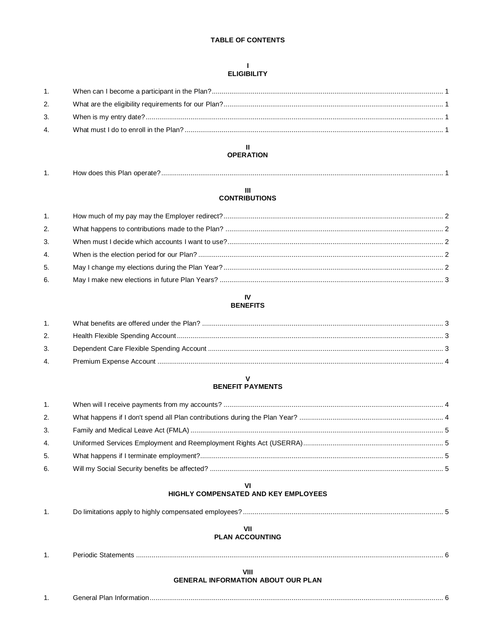# **TABLE OF CONTENTS**

# $\mathbf{I}$ **ELIGIBILITY**

| 1. |  |
|----|--|
| 2. |  |
| 3. |  |
| 4. |  |
|    |  |

# $\mathbf{H}^{\top}$ **OPERATION**

| . . | does this Plan/<br>operate <sup>®</sup><br>⊣∩w |  |
|-----|------------------------------------------------|--|
|     |                                                |  |

# III<br>CONTRIBUTIONS

| 1. |  |
|----|--|
| 2. |  |
| 3. |  |
| 4. |  |
| 5. |  |
| 6. |  |

#### ${\sf IV}$ **BENEFITS**

| 1. |  |
|----|--|
| 2. |  |
| 3. |  |
| 4. |  |
|    |  |

# $\mathbf V$ **BENEFIT PAYMENTS**

| 1. |  |
|----|--|
| 2. |  |
| 3. |  |
| 4. |  |
| 5. |  |
| 6. |  |

# $VI$ HIGHLY COMPENSATED AND KEY EMPLOYEES

# VII

# **PLAN ACCOUNTING**

 $1.$ 

# VIII

# **GENERAL INFORMATION ABOUT OUR PLAN**

| س∩ا (∟<br>≅ informatior.<br>ʻidi<br>Jenerar |
|---------------------------------------------|
|                                             |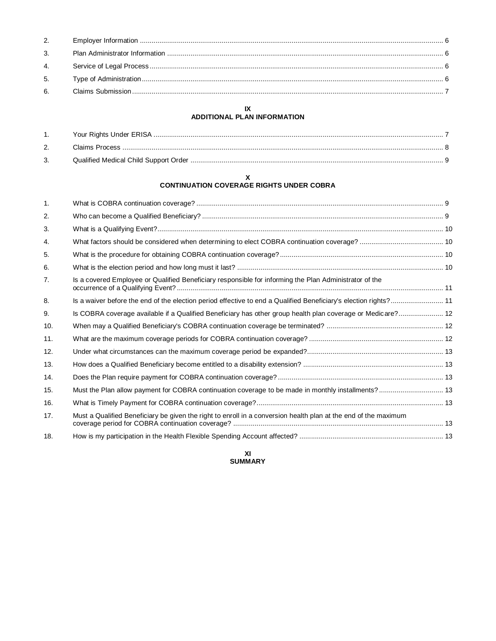# **IX ADDITIONAL PLAN INFORMATION**

# **X CONTINUATION COVERAGE RIGHTS UNDER COBRA**

| 1.  |                                                                                                                  |  |
|-----|------------------------------------------------------------------------------------------------------------------|--|
| 2.  |                                                                                                                  |  |
| 3.  |                                                                                                                  |  |
| 4.  |                                                                                                                  |  |
| 5.  |                                                                                                                  |  |
| 6.  |                                                                                                                  |  |
| 7.  | Is a covered Employee or Qualified Beneficiary responsible for informing the Plan Administrator of the           |  |
| 8.  | Is a waiver before the end of the election period effective to end a Qualified Beneficiary's election rights? 11 |  |
| 9.  | Is COBRA coverage available if a Qualified Beneficiary has other group health plan coverage or Medicare? 12      |  |
| 10. |                                                                                                                  |  |
| 11. |                                                                                                                  |  |
| 12. |                                                                                                                  |  |
| 13. |                                                                                                                  |  |
| 14. |                                                                                                                  |  |
| 15. | Must the Plan allow payment for COBRA continuation coverage to be made in monthly installments? 13               |  |
| 16. |                                                                                                                  |  |
| 17. | Must a Qualified Beneficiary be given the right to enroll in a conversion health plan at the end of the maximum  |  |
| 18. |                                                                                                                  |  |

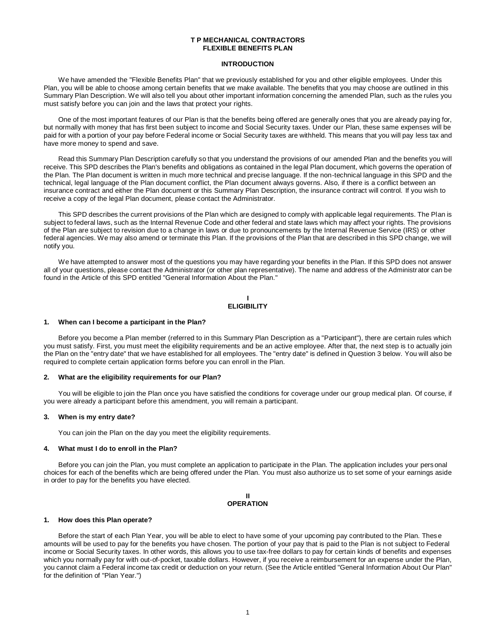## **T P MECHANICAL CONTRACTORS FLEXIBLE BENEFITS PLAN**

#### **INTRODUCTION**

We have amended the "Flexible Benefits Plan" that we previously established for you and other eligible employees. Under this Plan, you will be able to choose among certain benefits that we make available. The benefits that you may choose are outlined in this Summary Plan Description. We will also tell you about other important information concerning the amended Plan, such as the rules you must satisfy before you can join and the laws that protect your rights.

One of the most important features of our Plan is that the benefits being offered are generally ones that you are already paying for, but normally with money that has first been subject to income and Social Security taxes. Under our Plan, these same expenses will be paid for with a portion of your pay before Federal income or Social Security taxes are withheld. This means that you will pay less tax and have more money to spend and save.

Read this Summary Plan Description carefully so that you understand the provisions of our amended Plan and the benefits you will receive. This SPD describes the Plan's benefits and obligations as contained in the legal Plan document, which governs the operation of the Plan. The Plan document is written in much more technical and precise language. If the non-technical language in this SPD and the technical, legal language of the Plan document conflict, the Plan document always governs. Also, if there is a conflict between an insurance contract and either the Plan document or this Summary Plan Description, the insurance contract will control. If you wish to receive a copy of the legal Plan document, please contact the Administrator.

This SPD describes the current provisions of the Plan which are designed to comply with applicable legal requirements. The Plan is subject to federal laws, such as the Internal Revenue Code and other federal and state laws which may affect your rights. The provisions of the Plan are subject to revision due to a change in laws or due to pronouncements by the Internal Revenue Service (IRS) or other federal agencies. We may also amend or terminate this Plan. If the provisions of the Plan that are described in this SPD change, we will notify you.

We have attempted to answer most of the questions you may have regarding your benefits in the Plan. If this SPD does not answer all of your questions, please contact the Administrator (or other plan representative). The name and address of the Administrator can be found in the Article of this SPD entitled "General Information About the Plan."

#### **I ELIGIBILITY**

#### **1. When can I become a participant in the Plan?**

Before you become a Plan member (referred to in this Summary Plan Description as a "Participant"), there are certain rules which you must satisfy. First, you must meet the eligibility requirements and be an active employee. After that, the next step is to actually join the Plan on the "entry date" that we have established for all employees. The "entry date" is defined in Question 3 below. You will also be required to complete certain application forms before you can enroll in the Plan.

#### **2. What are the eligibility requirements for our Plan?**

You will be eligible to join the Plan once you have satisfied the conditions for coverage under our group medical plan. Of course, if you were already a participant before this amendment, you will remain a participant.

#### **3. When is my entry date?**

You can join the Plan on the day you meet the eligibility requirements.

## **4. What must I do to enroll in the Plan?**

Before you can join the Plan, you must complete an application to participate in the Plan. The application includes your personal choices for each of the benefits which are being offered under the Plan. You must also authorize us to set some of your earnings aside in order to pay for the benefits you have elected.

#### **II OPERATION**

## **1. How does this Plan operate?**

Before the start of each Plan Year, you will be able to elect to have some of your upcoming pay contributed to the Plan. Thes e amounts will be used to pay for the benefits you have chosen. The portion of your pay that is paid to the Plan is not subject to Federal income or Social Security taxes. In other words, this allows you to use tax-free dollars to pay for certain kinds of benefits and expenses which you normally pay for with out-of-pocket, taxable dollars. However, if you receive a reimbursement for an expense under the Plan, you cannot claim a Federal income tax credit or deduction on your return. (See the Article entitled "General Information About Our Plan" for the definition of "Plan Year.")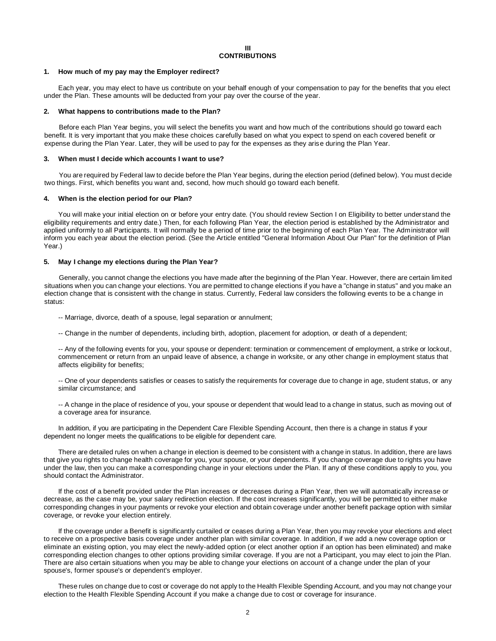# **III CONTRIBUTIONS**

## **1. How much of my pay may the Employer redirect?**

Each year, you may elect to have us contribute on your behalf enough of your compensation to pay for the benefits that you elect under the Plan. These amounts will be deducted from your pay over the course of the year.

#### **2. What happens to contributions made to the Plan?**

Before each Plan Year begins, you will select the benefits you want and how much of the contributions should go toward each benefit. It is very important that you make these choices carefully based on what you expect to spend on each covered benefit or expense during the Plan Year. Later, they will be used to pay for the expenses as they arise during the Plan Year.

## **3. When must I decide which accounts I want to use?**

You are required by Federal law to decide before the Plan Year begins, during the election period (defined below). You must decide two things. First, which benefits you want and, second, how much should go toward each benefit.

#### **4. When is the election period for our Plan?**

You will make your initial election on or before your entry date. (You should review Section I on Eligibility to better understand the eligibility requirements and entry date.) Then, for each following Plan Year, the election period is established by the Administrator and applied uniformly to all Participants. It will normally be a period of time prior to the beginning of each Plan Year. The Administrator will inform you each year about the election period. (See the Article entitled "General Information About Our Plan" for the definition of Plan Year.)

# **5. May I change my elections during the Plan Year?**

Generally, you cannot change the elections you have made after the beginning of the Plan Year. However, there are certain limited situations when you can change your elections. You are permitted to change elections if you have a "change in status" and you make an election change that is consistent with the change in status. Currently, Federal law considers the following events to be a change in status:

- -- Marriage, divorce, death of a spouse, legal separation or annulment;
- -- Change in the number of dependents, including birth, adoption, placement for adoption, or death of a dependent;

-- Any of the following events for you, your spouse or dependent: termination or commencement of employment, a strike or lockout, commencement or return from an unpaid leave of absence, a change in worksite, or any other change in employment status that affects eligibility for benefits;

-- One of your dependents satisfies or ceases to satisfy the requirements for coverage due to change in age, student status, or any similar circumstance; and

-- A change in the place of residence of you, your spouse or dependent that would lead to a change in status, such as moving out of a coverage area for insurance.

In addition, if you are participating in the Dependent Care Flexible Spending Account, then there is a change in status if your dependent no longer meets the qualifications to be eligible for dependent care.

There are detailed rules on when a change in election is deemed to be consistent with a change in status. In addition, there are laws that give you rights to change health coverage for you, your spouse, or your dependents. If you change coverage due to rights you have under the law, then you can make a corresponding change in your elections under the Plan. If any of these conditions apply to you, you should contact the Administrator.

If the cost of a benefit provided under the Plan increases or decreases during a Plan Year, then we will automatically increase or decrease, as the case may be, your salary redirection election. If the cost increases significantly, you will be permitted to either make corresponding changes in your payments or revoke your election and obtain coverage under another benefit package option with similar coverage, or revoke your election entirely.

If the coverage under a Benefit is significantly curtailed or ceases during a Plan Year, then you may revoke your elections and elect to receive on a prospective basis coverage under another plan with similar coverage. In addition, if we add a new coverage option or eliminate an existing option, you may elect the newly-added option (or elect another option if an option has been eliminated) and make corresponding election changes to other options providing similar coverage. If you are not a Participant, you may elect to join the Plan. There are also certain situations when you may be able to change your elections on account of a change under the plan of your spouse's, former spouse's or dependent's employer.

These rules on change due to cost or coverage do not apply to the Health Flexible Spending Account, and you may not change your election to the Health Flexible Spending Account if you make a change due to cost or coverage for insurance.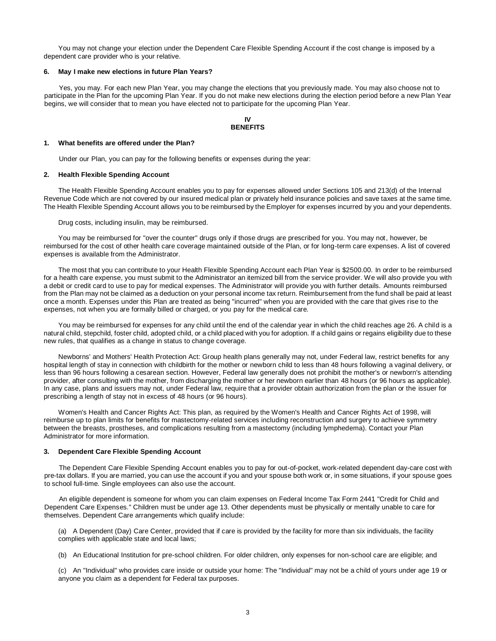You may not change your election under the Dependent Care Flexible Spending Account if the cost change is imposed by a dependent care provider who is your relative.

#### **6. May I make new elections in future Plan Years?**

Yes, you may. For each new Plan Year, you may change the elections that you previously made. You may also choose not to participate in the Plan for the upcoming Plan Year. If you do not make new elections during the election period before a new Plan Year begins, we will consider that to mean you have elected not to participate for the upcoming Plan Year.

# **IV BENEFITS**

#### **1. What benefits are offered under the Plan?**

Under our Plan, you can pay for the following benefits or expenses during the year:

#### **2. Health Flexible Spending Account**

The Health Flexible Spending Account enables you to pay for expenses allowed under Sections 105 and 213(d) of the Internal Revenue Code which are not covered by our insured medical plan or privately held insurance policies and save taxes at the same time. The Health Flexible Spending Account allows you to be reimbursed by the Employer for expenses incurred by you and your dependents.

Drug costs, including insulin, may be reimbursed.

You may be reimbursed for "over the counter" drugs only if those drugs are prescribed for you. You may not, however, be reimbursed for the cost of other health care coverage maintained outside of the Plan, or for long-term care expenses. A list of covered expenses is available from the Administrator.

The most that you can contribute to your Health Flexible Spending Account each Plan Year is \$2500.00. In order to be reimbursed for a health care expense, you must submit to the Administrator an itemized bill from the service provider. We will also provide you with a debit or credit card to use to pay for medical expenses. The Administrator will provide you with further details. Amounts reimbursed from the Plan may not be claimed as a deduction on your personal income tax return. Reimbursement from the fund shall be paid at least once a month. Expenses under this Plan are treated as being "incurred" when you are provided with the care that gives rise to the expenses, not when you are formally billed or charged, or you pay for the medical care.

You may be reimbursed for expenses for any child until the end of the calendar year in which the child reaches age 26. A child is a natural child, stepchild, foster child, adopted child, or a child placed with you for adoption. If a child gains or regains eligibility due to these new rules, that qualifies as a change in status to change coverage.

Newborns' and Mothers' Health Protection Act: Group health plans generally may not, under Federal law, restrict benefits for any hospital length of stay in connection with childbirth for the mother or newborn child to less than 48 hours following a vaginal delivery, or less than 96 hours following a cesarean section. However, Federal law generally does not prohibit the mother's or newborn's attending provider, after consulting with the mother, from discharging the mother or her newborn earlier than 48 hours (or 96 hours as applicable). In any case, plans and issuers may not, under Federal law, require that a provider obtain authorization from the plan or the issuer for prescribing a length of stay not in excess of 48 hours (or 96 hours).

Women's Health and Cancer Rights Act: This plan, as required by the Women's Health and Cancer Rights Act of 1998, will reimburse up to plan limits for benefits for mastectomy-related services including reconstruction and surgery to achieve symmetry between the breasts, prostheses, and complications resulting from a mastectomy (including lymphedema). Contact your Plan Administrator for more information.

#### **3. Dependent Care Flexible Spending Account**

The Dependent Care Flexible Spending Account enables you to pay for out-of-pocket, work-related dependent day-care cost with pre-tax dollars. If you are married, you can use the account if you and your spouse both work or, in some situations, if your spouse goes to school full-time. Single employees can also use the account.

An eligible dependent is someone for whom you can claim expenses on Federal Income Tax Form 2441 "Credit for Child and Dependent Care Expenses." Children must be under age 13. Other dependents must be physically or mentally unable to care for themselves. Dependent Care arrangements which qualify include:

(a) A Dependent (Day) Care Center, provided that if care is provided by the facility for more than six individuals, the facility complies with applicable state and local laws;

(b) An Educational Institution for pre-school children. For older children, only expenses for non-school care are eligible; and

(c) An "Individual" who provides care inside or outside your home: The "Individual" may not be a child of yours under age 19 or anyone you claim as a dependent for Federal tax purposes.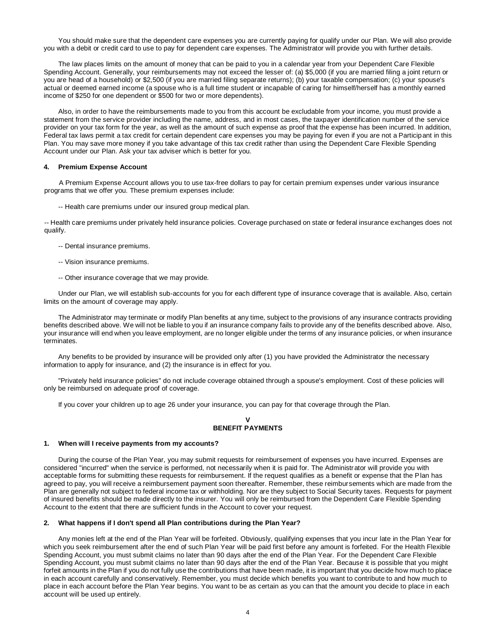You should make sure that the dependent care expenses you are currently paying for qualify under our Plan. We will also provide you with a debit or credit card to use to pay for dependent care expenses. The Administrator will provide you with further details.

The law places limits on the amount of money that can be paid to you in a calendar year from your Dependent Care Flexible Spending Account. Generally, your reimbursements may not exceed the lesser of: (a) \$5,000 (if you are married filing a joint return or you are head of a household) or \$2,500 (if you are married filing separate returns); (b) your taxable compensation; (c) your spouse's actual or deemed earned income (a spouse who is a full time student or incapable of caring for himself/herself has a monthly earned income of \$250 for one dependent or \$500 for two or more dependents).

Also, in order to have the reimbursements made to you from this account be excludable from your income, you must provide a statement from the service provider including the name, address, and in most cases, the taxpayer identification number of the service provider on your tax form for the year, as well as the amount of such expense as proof that the expense has been incurred. In addition, Federal tax laws permit a tax credit for certain dependent care expenses you may be paying for even if you are not a Participant in this Plan. You may save more money if you take advantage of this tax credit rather than using the Dependent Care Flexible Spending Account under our Plan. Ask your tax adviser which is better for you.

#### **4. Premium Expense Account**

A Premium Expense Account allows you to use tax-free dollars to pay for certain premium expenses under various insurance programs that we offer you. These premium expenses include:

-- Health care premiums under our insured group medical plan.

-- Health care premiums under privately held insurance policies. Coverage purchased on state or federal insurance exchanges does not qualify.

- -- Dental insurance premiums.
- -- Vision insurance premiums.
- -- Other insurance coverage that we may provide.

Under our Plan, we will establish sub-accounts for you for each different type of insurance coverage that is available. Also, certain limits on the amount of coverage may apply.

The Administrator may terminate or modify Plan benefits at any time, subject to the provisions of any insurance contracts providing benefits described above. We will not be liable to you if an insurance company fails to provide any of the benefits described above. Also, your insurance will end when you leave employment, are no longer eligible under the terms of any insurance policies, or when insurance terminates.

Any benefits to be provided by insurance will be provided only after (1) you have provided the Administrator the necessary information to apply for insurance, and (2) the insurance is in effect for you.

"Privately held insurance policies" do not include coverage obtained through a spouse's employment. Cost of these policies will only be reimbursed on adequate proof of coverage.

If you cover your children up to age 26 under your insurance, you can pay for that coverage through the Plan.

#### **V BENEFIT PAYMENTS**

#### **1. When will I receive payments from my accounts?**

During the course of the Plan Year, you may submit requests for reimbursement of expenses you have incurred. Expenses are considered "incurred" when the service is performed, not necessarily when it is paid for. The Administrator will provide you with acceptable forms for submitting these requests for reimbursement. If the request qualifies as a benefit or expense that the Plan has agreed to pay, you will receive a reimbursement payment soon thereafter. Remember, these reimbursements which are made from the Plan are generally not subject to federal income tax or withholding. Nor are they subject to Social Security taxes. Requests for payment of insured benefits should be made directly to the insurer. You will only be reimbursed from the Dependent Care Flexible Spending Account to the extent that there are sufficient funds in the Account to cover your request.

#### **2. What happens if I don't spend all Plan contributions during the Plan Year?**

Any monies left at the end of the Plan Year will be forfeited. Obviously, qualifying expenses that you incur late in the Plan Year for which you seek reimbursement after the end of such Plan Year will be paid first before any amount is forfeited. For the Health Flexible Spending Account, you must submit claims no later than 90 days after the end of the Plan Year. For the Dependent Care Flexible Spending Account, you must submit claims no later than 90 days after the end of the Plan Year. Because it is possible that you might forfeit amounts in the Plan if you do not fully use the contributions that have been made, it is important that you decide how much to place in each account carefully and conservatively. Remember, you must decide which benefits you want to contribute to and how much to place in each account before the Plan Year begins. You want to be as certain as you can that the amount you decide to place in each account will be used up entirely.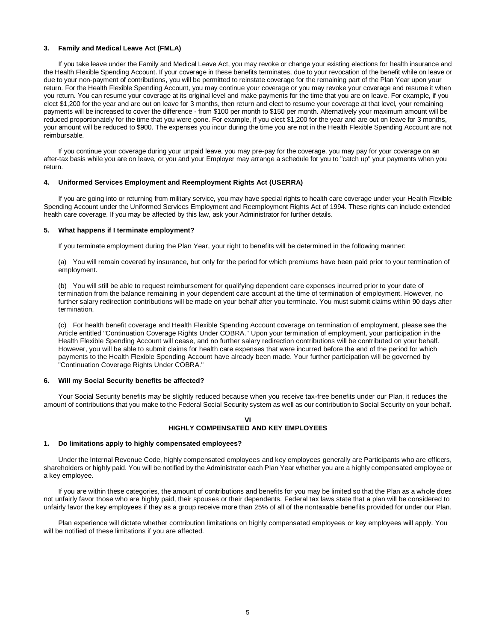# **3. Family and Medical Leave Act (FMLA)**

If you take leave under the Family and Medical Leave Act, you may revoke or change your existing elections for health insurance and the Health Flexible Spending Account. If your coverage in these benefits terminates, due to your revocation of the benefit while on leave or due to your non-payment of contributions, you will be permitted to reinstate coverage for the remaining part of the Plan Year upon your return. For the Health Flexible Spending Account, you may continue your coverage or you may revoke your coverage and resume it when you return. You can resume your coverage at its original level and make payments for the time that you are on leave. For example, if you elect \$1,200 for the year and are out on leave for 3 months, then return and elect to resume your coverage at that level, your remaining payments will be increased to cover the difference - from \$100 per month to \$150 per month. Alternatively your maximum amount will be reduced proportionately for the time that you were gone. For example, if you elect \$1,200 for the year and are out on leave for 3 months, your amount will be reduced to \$900. The expenses you incur during the time you are not in the Health Flexible Spending Account are not reimbursable.

If you continue your coverage during your unpaid leave, you may pre-pay for the coverage, you may pay for your coverage on an after-tax basis while you are on leave, or you and your Employer may arrange a schedule for you to "catch up" your payments when you return.

## **4. Uniformed Services Employment and Reemployment Rights Act (USERRA)**

If you are going into or returning from military service, you may have special rights to health care coverage under your Health Flexible Spending Account under the Uniformed Services Employment and Reemployment Rights Act of 1994. These rights can include extended health care coverage. If you may be affected by this law, ask your Administrator for further details.

#### **5. What happens if I terminate employment?**

If you terminate employment during the Plan Year, your right to benefits will be determined in the following manner:

(a) You will remain covered by insurance, but only for the period for which premiums have been paid prior to your termination of employment.

(b) You will still be able to request reimbursement for qualifying dependent care expenses incurred prior to your date of termination from the balance remaining in your dependent care account at the time of termination of employment. However, no further salary redirection contributions will be made on your behalf after you terminate. You must submit claims within 90 days after termination.

(c) For health benefit coverage and Health Flexible Spending Account coverage on termination of employment, please see the Article entitled "Continuation Coverage Rights Under COBRA." Upon your termination of employment, your participation in the Health Flexible Spending Account will cease, and no further salary redirection contributions will be contributed on your behalf. However, you will be able to submit claims for health care expenses that were incurred before the end of the period for which payments to the Health Flexible Spending Account have already been made. Your further participation will be governed by "Continuation Coverage Rights Under COBRA."

#### **6. Will my Social Security benefits be affected?**

Your Social Security benefits may be slightly reduced because when you receive tax-free benefits under our Plan, it reduces the amount of contributions that you make to the Federal Social Security system as well as our contribution to Social Security on your behalf.

# **VI HIGHLY COMPENSATED AND KEY EMPLOYEES**

#### **1. Do limitations apply to highly compensated employees?**

Under the Internal Revenue Code, highly compensated employees and key employees generally are Participants who are officers, shareholders or highly paid. You will be notified by the Administrator each Plan Year whether you are a highly compensated employee or a key employee.

If you are within these categories, the amount of contributions and benefits for you may be limited so that the Plan as a whole does not unfairly favor those who are highly paid, their spouses or their dependents. Federal tax laws state that a plan will be considered to unfairly favor the key employees if they as a group receive more than 25% of all of the nontaxable benefits provided for under our Plan.

Plan experience will dictate whether contribution limitations on highly compensated employees or key employees will apply. You will be notified of these limitations if you are affected.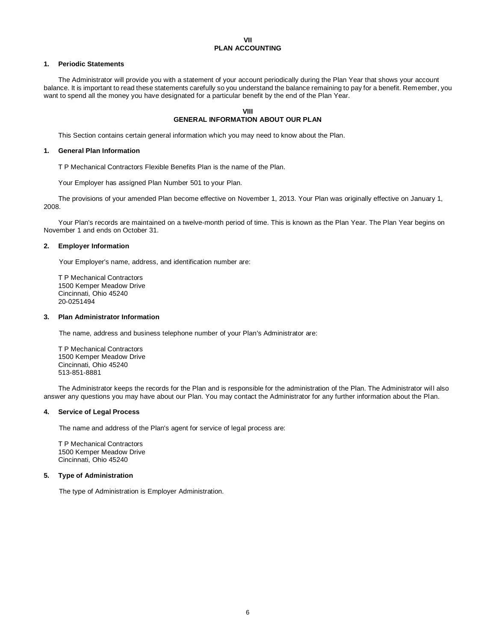## **VII PLAN ACCOUNTING**

# **1. Periodic Statements**

The Administrator will provide you with a statement of your account periodically during the Plan Year that shows your account balance. It is important to read these statements carefully so you understand the balance remaining to pay for a benefit. Remember, you want to spend all the money you have designated for a particular benefit by the end of the Plan Year.

# **VIII GENERAL INFORMATION ABOUT OUR PLAN**

This Section contains certain general information which you may need to know about the Plan.

# **1. General Plan Information**

T P Mechanical Contractors Flexible Benefits Plan is the name of the Plan.

Your Employer has assigned Plan Number 501 to your Plan.

The provisions of your amended Plan become effective on November 1, 2013. Your Plan was originally effective on January 1, 2008.

Your Plan's records are maintained on a twelve-month period of time. This is known as the Plan Year. The Plan Year begins on November 1 and ends on October 31.

# **2. Employer Information**

Your Employer's name, address, and identification number are:

T P Mechanical Contractors 1500 Kemper Meadow Drive Cincinnati, Ohio 45240 20-0251494

# **3. Plan Administrator Information**

The name, address and business telephone number of your Plan's Administrator are:

T P Mechanical Contractors 1500 Kemper Meadow Drive Cincinnati, Ohio 45240 513-851-8881

The Administrator keeps the records for the Plan and is responsible for the administration of the Plan. The Administrator wil l also answer any questions you may have about our Plan. You may contact the Administrator for any further information about the Plan.

# **4. Service of Legal Process**

The name and address of the Plan's agent for service of legal process are:

T P Mechanical Contractors 1500 Kemper Meadow Drive Cincinnati, Ohio 45240

# **5. Type of Administration**

The type of Administration is Employer Administration.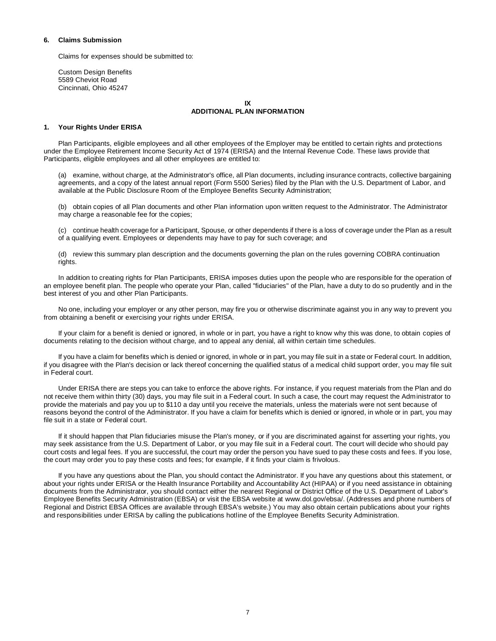## **6. Claims Submission**

Claims for expenses should be submitted to:

Custom Design Benefits 5589 Cheviot Road Cincinnati, Ohio 45247

# **IX**

# **ADDITIONAL PLAN INFORMATION**

## **1. Your Rights Under ERISA**

Plan Participants, eligible employees and all other employees of the Employer may be entitled to certain rights and protections under the Employee Retirement Income Security Act of 1974 (ERISA) and the Internal Revenue Code. These laws provide that Participants, eligible employees and all other employees are entitled to:

(a) examine, without charge, at the Administrator's office, all Plan documents, including insurance contracts, collective bargaining agreements, and a copy of the latest annual report (Form 5500 Series) filed by the Plan with the U.S. Department of Labor, and available at the Public Disclosure Room of the Employee Benefits Security Administration;

(b) obtain copies of all Plan documents and other Plan information upon written request to the Administrator. The Administrator may charge a reasonable fee for the copies;

(c) continue health coverage for a Participant, Spouse, or other dependents if there is a loss of coverage under the Plan as a result of a qualifying event. Employees or dependents may have to pay for such coverage; and

(d) review this summary plan description and the documents governing the plan on the rules governing COBRA continuation rights.

In addition to creating rights for Plan Participants, ERISA imposes duties upon the people who are responsible for the operation of an employee benefit plan. The people who operate your Plan, called "fiduciaries" of the Plan, have a duty to do so prudently and in the best interest of you and other Plan Participants.

No one, including your employer or any other person, may fire you or otherwise discriminate against you in any way to prevent you from obtaining a benefit or exercising your rights under ERISA.

If your claim for a benefit is denied or ignored, in whole or in part, you have a right to know why this was done, to obtain copies of documents relating to the decision without charge, and to appeal any denial, all within certain time schedules.

If you have a claim for benefits which is denied or ignored, in whole or in part, you may file suit in a state or Federal court. In addition, if you disagree with the Plan's decision or lack thereof concerning the qualified status of a medical child support order, you may file suit in Federal court.

Under ERISA there are steps you can take to enforce the above rights. For instance, if you request materials from the Plan and do not receive them within thirty (30) days, you may file suit in a Federal court. In such a case, the court may request the Administrator to provide the materials and pay you up to \$110 a day until you receive the materials, unless the materials were not sent because of reasons beyond the control of the Administrator. If you have a claim for benefits which is denied or ignored, in whole or in part, you may file suit in a state or Federal court.

If it should happen that Plan fiduciaries misuse the Plan's money, or if you are discriminated against for asserting your rights, you may seek assistance from the U.S. Department of Labor, or you may file suit in a Federal court. The court will decide who should pay court costs and legal fees. If you are successful, the court may order the person you have sued to pay these costs and fees. If you lose, the court may order you to pay these costs and fees; for example, if it finds your claim is frivolous.

If you have any questions about the Plan, you should contact the Administrator. If you have any questions about this statement, or about your rights under ERISA or the Health Insurance Portability and Accountability Act (HIPAA) or if you need assistance in obtaining documents from the Administrator, you should contact either the nearest Regional or District Office of the U.S. Department of Labor's Employee Benefits Security Administration (EBSA) or visit the EBSA website at www.dol.gov/ebsa/. (Addresses and phone numbers of Regional and District EBSA Offices are available through EBSA's website.) You may also obtain certain publications about your rights and responsibilities under ERISA by calling the publications hotline of the Employee Benefits Security Administration.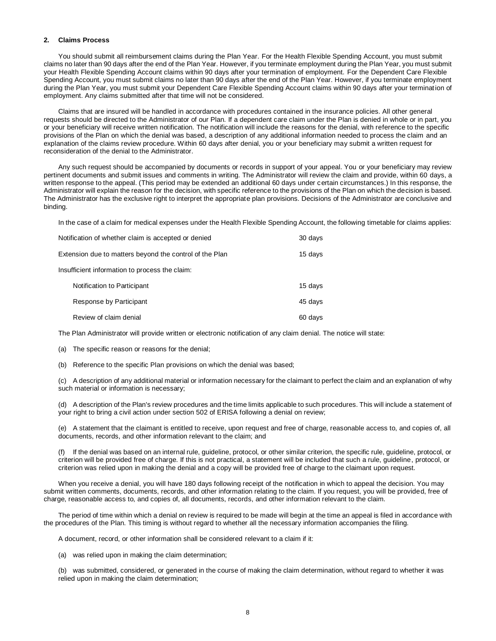## **2. Claims Process**

You should submit all reimbursement claims during the Plan Year. For the Health Flexible Spending Account, you must submit claims no later than 90 days after the end of the Plan Year. However, if you terminate employment during the Plan Year, you must submit your Health Flexible Spending Account claims within 90 days after your termination of employment. For the Dependent Care Flexible Spending Account, you must submit claims no later than 90 days after the end of the Plan Year. However, if you terminate employment during the Plan Year, you must submit your Dependent Care Flexible Spending Account claims within 90 days after your termination of employment. Any claims submitted after that time will not be considered.

Claims that are insured will be handled in accordance with procedures contained in the insurance policies. All other general requests should be directed to the Administrator of our Plan. If a dependent care claim under the Plan is denied in whole or in part, you or your beneficiary will receive written notification. The notification will include the reasons for the denial, with reference to the specific provisions of the Plan on which the denial was based, a description of any additional information needed to process the claim and an explanation of the claims review procedure. Within 60 days after denial, you or your beneficiary may submit a written request for reconsideration of the denial to the Administrator.

Any such request should be accompanied by documents or records in support of your appeal. You or your beneficiary may review pertinent documents and submit issues and comments in writing. The Administrator will review the claim and provide, within 60 days, a written response to the appeal. (This period may be extended an additional 60 days under certain circumstances.) In this response, the Administrator will explain the reason for the decision, with specific reference to the provisions of the Plan on which the decision is based. The Administrator has the exclusive right to interpret the appropriate plan provisions. Decisions of the Administrator are conclusive and binding.

In the case of a claim for medical expenses under the Health Flexible Spending Account, the following timetable for claims applies:

| Notification of whether claim is accepted or denied |                                                         | 30 days |
|-----------------------------------------------------|---------------------------------------------------------|---------|
|                                                     | Extension due to matters beyond the control of the Plan |         |
| Insufficient information to process the claim:      |                                                         |         |
|                                                     | Notification to Participant                             | 15 days |
|                                                     | Response by Participant                                 | 45 days |
|                                                     | Review of claim denial                                  | 60 davs |

The Plan Administrator will provide written or electronic notification of any claim denial. The notice will state:

(a) The specific reason or reasons for the denial;

(b) Reference to the specific Plan provisions on which the denial was based;

(c) A description of any additional material or information necessary for the claimant to perfect the claim and an explanation of why such material or information is necessary;

(d) A description of the Plan's review procedures and the time limits applicable to such procedures. This will include a statement of your right to bring a civil action under section 502 of ERISA following a denial on review;

(e) A statement that the claimant is entitled to receive, upon request and free of charge, reasonable access to, and copies of, all documents, records, and other information relevant to the claim; and

(f) If the denial was based on an internal rule, guideline, protocol, or other similar criterion, the specific rule, guideline, protocol, or criterion will be provided free of charge. If this is not practical, a statement will be included that such a rule, guideline, protocol, or criterion was relied upon in making the denial and a copy will be provided free of charge to the claimant upon request.

When you receive a denial, you will have 180 days following receipt of the notification in which to appeal the decision. You may submit written comments, documents, records, and other information relating to the claim. If you request, you will be provided, free of charge, reasonable access to, and copies of, all documents, records, and other information relevant to the claim.

The period of time within which a denial on review is required to be made will begin at the time an appeal is filed in accordance with the procedures of the Plan. This timing is without regard to whether all the necessary information accompanies the filing.

A document, record, or other information shall be considered relevant to a claim if it:

(a) was relied upon in making the claim determination;

(b) was submitted, considered, or generated in the course of making the claim determination, without regard to whether it was relied upon in making the claim determination;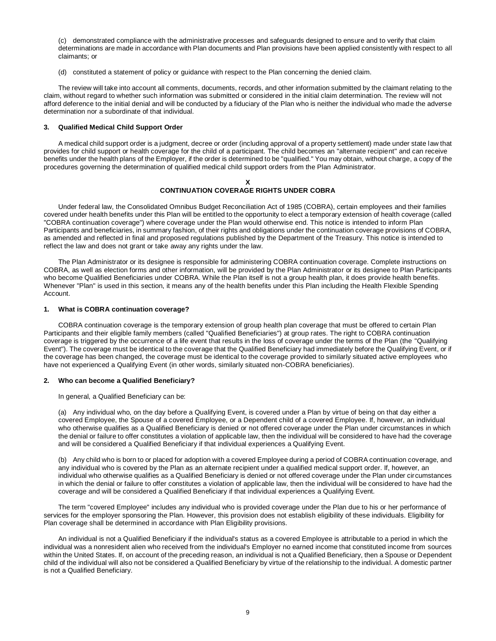(c) demonstrated compliance with the administrative processes and safeguards designed to ensure and to verify that claim determinations are made in accordance with Plan documents and Plan provisions have been applied consistently with respect to all claimants; or

(d) constituted a statement of policy or guidance with respect to the Plan concerning the denied claim.

The review will take into account all comments, documents, records, and other information submitted by the claimant relating to the claim, without regard to whether such information was submitted or considered in the initial claim determination. The review will not afford deference to the initial denial and will be conducted by a fiduciary of the Plan who is neither the individual who made the adverse determination nor a subordinate of that individual.

#### **3. Qualified Medical Child Support Order**

A medical child support order is a judgment, decree or order (including approval of a property settlement) made under state law that provides for child support or health coverage for the child of a participant. The child becomes an "alternate recipient" and can receive benefits under the health plans of the Employer, if the order is determined to be "qualified." You may obtain, without charge, a copy of the procedures governing the determination of qualified medical child support orders from the Plan Administrator.

## **X CONTINUATION COVERAGE RIGHTS UNDER COBRA**

Under federal law, the Consolidated Omnibus Budget Reconciliation Act of 1985 (COBRA), certain employees and their families covered under health benefits under this Plan will be entitled to the opportunity to elect a temporary extension of health coverage (called "COBRA continuation coverage") where coverage under the Plan would otherwise end. This notice is intended to inform Plan Participants and beneficiaries, in summary fashion, of their rights and obligations under the continuation coverage provisions of COBRA, as amended and reflected in final and proposed regulations published by the Department of the Treasury. This notice is intended to reflect the law and does not grant or take away any rights under the law.

The Plan Administrator or its designee is responsible for administering COBRA continuation coverage. Complete instructions on COBRA, as well as election forms and other information, will be provided by the Plan Administrator or its designee to Plan Participants who become Qualified Beneficiaries under COBRA. While the Plan itself is not a group health plan, it does provide health benefits. Whenever "Plan" is used in this section, it means any of the health benefits under this Plan including the Health Flexible Spending Account.

#### **1. What is COBRA continuation coverage?**

COBRA continuation coverage is the temporary extension of group health plan coverage that must be offered to certain Plan Participants and their eligible family members (called "Qualified Beneficiaries") at group rates. The right to COBRA continuation coverage is triggered by the occurrence of a life event that results in the loss of coverage under the terms of the Plan (the "Qualifying Event"). The coverage must be identical to the coverage that the Qualified Beneficiary had immediately before the Qualifying Event, or if the coverage has been changed, the coverage must be identical to the coverage provided to similarly situated active employees who have not experienced a Qualifying Event (in other words, similarly situated non-COBRA beneficiaries).

#### **2. Who can become a Qualified Beneficiary?**

In general, a Qualified Beneficiary can be:

(a) Any individual who, on the day before a Qualifying Event, is covered under a Plan by virtue of being on that day either a covered Employee, the Spouse of a covered Employee, or a Dependent child of a covered Employee. If, however, an individual who otherwise qualifies as a Qualified Beneficiary is denied or not offered coverage under the Plan under circumstances in which the denial or failure to offer constitutes a violation of applicable law, then the individual will be considered to have had the coverage and will be considered a Qualified Beneficiary if that individual experiences a Qualifying Event.

(b) Any child who is born to or placed for adoption with a covered Employee during a period of COBRA continuation coverage, and any individual who is covered by the Plan as an alternate recipient under a qualified medical support order. If, however, an individual who otherwise qualifies as a Qualified Beneficiary is denied or not offered coverage under the Plan under circumstances in which the denial or failure to offer constitutes a violation of applicable law, then the individual will be considered to have had the coverage and will be considered a Qualified Beneficiary if that individual experiences a Qualifying Event.

The term "covered Employee" includes any individual who is provided coverage under the Plan due to his or her performance of services for the employer sponsoring the Plan. However, this provision does not establish eligibility of these individuals. Eligibility for Plan coverage shall be determined in accordance with Plan Eligibility provisions.

An individual is not a Qualified Beneficiary if the individual's status as a covered Employee is attributable to a period in which the individual was a nonresident alien who received from the individual's Employer no earned income that constituted income from sources within the United States. If, on account of the preceding reason, an individual is not a Qualified Beneficiary, then a Spouse or Dependent child of the individual will also not be considered a Qualified Beneficiary by virtue of the relationship to the individual. A domestic partner is not a Qualified Beneficiary.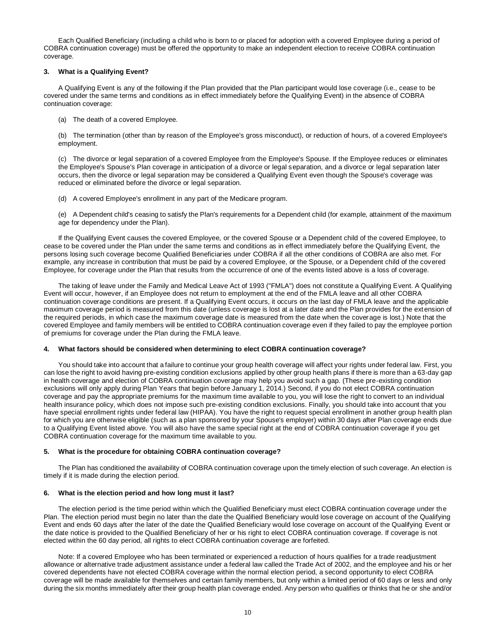Each Qualified Beneficiary (including a child who is born to or placed for adoption with a covered Employee during a period of COBRA continuation coverage) must be offered the opportunity to make an independent election to receive COBRA continuation coverage.

## **3. What is a Qualifying Event?**

A Qualifying Event is any of the following if the Plan provided that the Plan participant would lose coverage (i.e., cease to be covered under the same terms and conditions as in effect immediately before the Qualifying Event) in the absence of COBRA continuation coverage:

(a) The death of a covered Employee.

(b) The termination (other than by reason of the Employee's gross misconduct), or reduction of hours, of a covered Employee's employment.

(c) The divorce or legal separation of a covered Employee from the Employee's Spouse. If the Employee reduces or eliminates the Employee's Spouse's Plan coverage in anticipation of a divorce or legal separation, and a divorce or legal separation later occurs, then the divorce or legal separation may be considered a Qualifying Event even though the Spouse's coverage was reduced or eliminated before the divorce or legal separation.

(d) A covered Employee's enrollment in any part of the Medicare program.

(e) A Dependent child's ceasing to satisfy the Plan's requirements for a Dependent child (for example, attainment of the maximum age for dependency under the Plan).

If the Qualifying Event causes the covered Employee, or the covered Spouse or a Dependent child of the covered Employee, to cease to be covered under the Plan under the same terms and conditions as in effect immediately before the Qualifying Event, the persons losing such coverage become Qualified Beneficiaries under COBRA if all the other conditions of COBRA are also met. For example, any increase in contribution that must be paid by a covered Employee, or the Spouse, or a Dependent child of the covered Employee, for coverage under the Plan that results from the occurrence of one of the events listed above is a loss of coverage.

The taking of leave under the Family and Medical Leave Act of 1993 ("FMLA") does not constitute a Qualifying Event. A Qualifying Event will occur, however, if an Employee does not return to employment at the end of the FMLA leave and all other COBRA continuation coverage conditions are present. If a Qualifying Event occurs, it occurs on the last day of FMLA leave and the applicable maximum coverage period is measured from this date (unless coverage is lost at a later date and the Plan provides for the extension of the required periods, in which case the maximum coverage date is measured from the date when the coverage is lost.) Note that the covered Employee and family members will be entitled to COBRA continuation coverage even if they failed to pay the employee portion of premiums for coverage under the Plan during the FMLA leave.

# **4. What factors should be considered when determining to elect COBRA continuation coverage?**

You should take into account that a failure to continue your group health coverage will affect your rights under federal law. First, you can lose the right to avoid having pre-existing condition exclusions applied by other group health plans if there is more than a 63-day gap in health coverage and election of COBRA continuation coverage may help you avoid such a gap. (These pre-existing condition exclusions will only apply during Plan Years that begin before January 1, 2014.) Second, if you do not elect COBRA continuation coverage and pay the appropriate premiums for the maximum time available to you, you will lose the right to convert to an individual health insurance policy, which does not impose such pre-existing condition exclusions. Finally, you should take into account that you have special enrollment rights under federal law (HIPAA). You have the right to request special enrollment in another group health plan for which you are otherwise eligible (such as a plan sponsored by your Spouse's employer) within 30 days after Plan coverage ends due to a Qualifying Event listed above. You will also have the same special right at the end of COBRA continuation coverage if you get COBRA continuation coverage for the maximum time available to you.

# **5. What is the procedure for obtaining COBRA continuation coverage?**

The Plan has conditioned the availability of COBRA continuation coverage upon the timely election of such coverage. An election is timely if it is made during the election period.

# **6. What is the election period and how long must it last?**

The election period is the time period within which the Qualified Beneficiary must elect COBRA continuation coverage under the Plan. The election period must begin no later than the date the Qualified Beneficiary would lose coverage on account of the Qualifying Event and ends 60 days after the later of the date the Qualified Beneficiary would lose coverage on account of the Qualifying Event or the date notice is provided to the Qualified Beneficiary of her or his right to elect COBRA continuation coverage. If coverage is not elected within the 60 day period, all rights to elect COBRA continuation coverage are forfeited.

Note: If a covered Employee who has been terminated or experienced a reduction of hours qualifies for a trade readjustment allowance or alternative trade adjustment assistance under a federal law called the Trade Act of 2002, and the employee and his or her covered dependents have not elected COBRA coverage within the normal election period, a second opportunity to elect COBRA coverage will be made available for themselves and certain family members, but only within a limited period of 60 days or less and only during the six months immediately after their group health plan coverage ended. Any person who qualifies or thinks that he or she and/or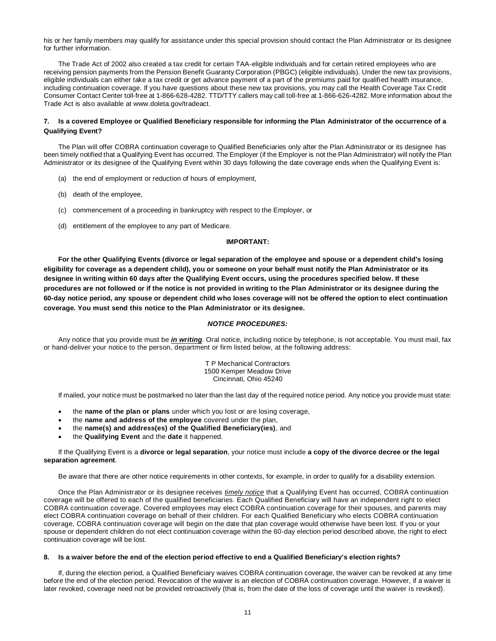his or her family members may qualify for assistance under this special provision should contact the Plan Administrator or its designee for further information.

The Trade Act of 2002 also created a tax credit for certain TAA-eligible individuals and for certain retired employees who are receiving pension payments from the Pension Benefit Guaranty Corporation (PBGC) (eligible individuals). Under the new tax provisions, eligible individuals can either take a tax credit or get advance payment of a part of the premiums paid for qualified health insurance, including continuation coverage. If you have questions about these new tax provisions, you may call the Health Coverage Tax Credit Consumer Contact Center toll-free at 1-866-628-4282. TTD/TTY callers may call toll-free at 1-866-626-4282. More information about the Trade Act is also available at www.doleta.gov/tradeact.

# **7. Is a covered Employee or Qualified Beneficiary responsible for informing the Plan Administrator of the occurrence of a Qualifying Event?**

The Plan will offer COBRA continuation coverage to Qualified Beneficiaries only after the Plan Administrator or its designee has been timely notified that a Qualifying Event has occurred. The Employer (if the Employer is not the Plan Administrator) will notify the Plan Administrator or its designee of the Qualifying Event within 30 days following the date coverage ends when the Qualifying Event is:

- (a) the end of employment or reduction of hours of employment,
- (b) death of the employee,
- (c) commencement of a proceeding in bankruptcy with respect to the Employer, or
- (d) entitlement of the employee to any part of Medicare.

# **IMPORTANT:**

**For the other Qualifying Events (divorce or legal separation of the employee and spouse or a dependent child's losing eligibility for coverage as a dependent child), you or someone on your behalf must notify the Plan Administrator or its designee in writing within 60 days after the Qualifying Event occurs, using the procedures specified below. If these procedures are not followed or if the notice is not provided in writing to the Plan Administrator or its designee during the 60-day notice period, any spouse or dependent child who loses coverage will not be offered the option to elect continuation coverage. You must send this notice to the Plan Administrator or its designee.**

#### *NOTICE PROCEDURES:*

Any notice that you provide must be *in writing*. Oral notice, including notice by telephone, is not acceptable. You must mail, fax or hand-deliver your notice to the person, department or firm listed below, at the following address:

> T P Mechanical Contractors 1500 Kemper Meadow Drive Cincinnati, Ohio 45240

If mailed, your notice must be postmarked no later than the last day of the required notice period. Any notice you provide must state:

- the **name of the plan or plans** under which you lost or are losing coverage,
- the **name and address of the employee** covered under the plan,
- the **name(s) and address(es) of the Qualified Beneficiary(ies)**, and
- the **Qualifying Event** and the **date** it happened.

# If the Qualifying Event is a **divorce or legal separation**, your notice must include **a copy of the divorce decree or the legal separation agreement**.

Be aware that there are other notice requirements in other contexts, for example, in order to qualify for a disability extension.

Once the Plan Administrator or its designee receives *timely notice* that a Qualifying Event has occurred, COBRA continuation coverage will be offered to each of the qualified beneficiaries. Each Qualified Beneficiary will have an independent right to elect COBRA continuation coverage. Covered employees may elect COBRA continuation coverage for their spouses, and parents may elect COBRA continuation coverage on behalf of their children. For each Qualified Beneficiary who elects COBRA continuation coverage, COBRA continuation coverage will begin on the date that plan coverage would otherwise have been lost. If you or your spouse or dependent children do not elect continuation coverage within the 60-day election period described above, the right to elect continuation coverage will be lost.

#### **8. Is a waiver before the end of the election period effective to end a Qualified Beneficiary's election rights?**

If, during the election period, a Qualified Beneficiary waives COBRA continuation coverage, the waiver can be revoked at any time before the end of the election period. Revocation of the waiver is an election of COBRA continuation coverage. However, if a waiver is later revoked, coverage need not be provided retroactively (that is, from the date of the loss of coverage until the waiver is revoked).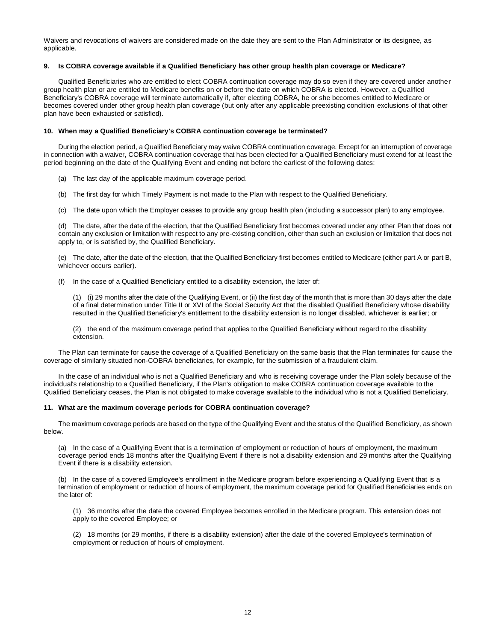Waivers and revocations of waivers are considered made on the date they are sent to the Plan Administrator or its designee, as applicable.

# **9. Is COBRA coverage available if a Qualified Beneficiary has other group health plan coverage or Medicare?**

Qualified Beneficiaries who are entitled to elect COBRA continuation coverage may do so even if they are covered under another group health plan or are entitled to Medicare benefits on or before the date on which COBRA is elected. However, a Qualified Beneficiary's COBRA coverage will terminate automatically if, after electing COBRA, he or she becomes entitled to Medicare or becomes covered under other group health plan coverage (but only after any applicable preexisting condition exclusions of that other plan have been exhausted or satisfied).

# **10. When may a Qualified Beneficiary's COBRA continuation coverage be terminated?**

During the election period, a Qualified Beneficiary may waive COBRA continuation coverage. Except for an interruption of coverage in connection with a waiver, COBRA continuation coverage that has been elected for a Qualified Beneficiary must extend for at least the period beginning on the date of the Qualifying Event and ending not before the earliest of the following dates:

- (a) The last day of the applicable maximum coverage period.
- (b) The first day for which Timely Payment is not made to the Plan with respect to the Qualified Beneficiary.
- (c) The date upon which the Employer ceases to provide any group health plan (including a successor plan) to any employee.

(d) The date, after the date of the election, that the Qualified Beneficiary first becomes covered under any other Plan that does not contain any exclusion or limitation with respect to any pre-existing condition, other than such an exclusion or limitation that does not apply to, or is satisfied by, the Qualified Beneficiary.

(e) The date, after the date of the election, that the Qualified Beneficiary first becomes entitled to Medicare (either part A or part B, whichever occurs earlier).

(f) In the case of a Qualified Beneficiary entitled to a disability extension, the later of:

(1) (i) 29 months after the date of the Qualifying Event, or (ii) the first day of the month that is more than 30 days after the date of a final determination under Title II or XVI of the Social Security Act that the disabled Qualified Beneficiary whose disability resulted in the Qualified Beneficiary's entitlement to the disability extension is no longer disabled, whichever is earlier; or

(2) the end of the maximum coverage period that applies to the Qualified Beneficiary without regard to the disability extension.

The Plan can terminate for cause the coverage of a Qualified Beneficiary on the same basis that the Plan terminates for cause the coverage of similarly situated non-COBRA beneficiaries, for example, for the submission of a fraudulent claim.

In the case of an individual who is not a Qualified Beneficiary and who is receiving coverage under the Plan solely because of the individual's relationship to a Qualified Beneficiary, if the Plan's obligation to make COBRA continuation coverage available to the Qualified Beneficiary ceases, the Plan is not obligated to make coverage available to the individual who is not a Qualified Beneficiary.

#### **11. What are the maximum coverage periods for COBRA continuation coverage?**

The maximum coverage periods are based on the type of the Qualifying Event and the status of the Qualified Beneficiary, as shown below.

(a) In the case of a Qualifying Event that is a termination of employment or reduction of hours of employment, the maximum coverage period ends 18 months after the Qualifying Event if there is not a disability extension and 29 months after the Qualifying Event if there is a disability extension.

(b) In the case of a covered Employee's enrollment in the Medicare program before experiencing a Qualifying Event that is a termination of employment or reduction of hours of employment, the maximum coverage period for Qualified Beneficiaries ends on the later of:

(1) 36 months after the date the covered Employee becomes enrolled in the Medicare program. This extension does not apply to the covered Employee; or

(2) 18 months (or 29 months, if there is a disability extension) after the date of the covered Employee's termination of employment or reduction of hours of employment.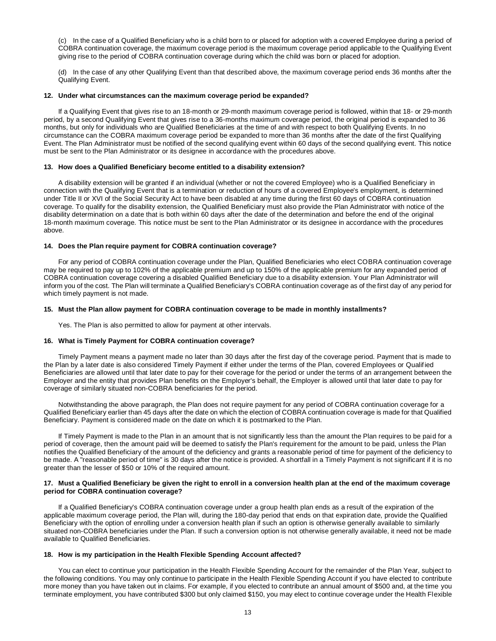(c) In the case of a Qualified Beneficiary who is a child born to or placed for adoption with a covered Employee during a period of COBRA continuation coverage, the maximum coverage period is the maximum coverage period applicable to the Qualifying Event giving rise to the period of COBRA continuation coverage during which the child was born or placed for adoption.

(d) In the case of any other Qualifying Event than that described above, the maximum coverage period ends 36 months after the Qualifying Event.

#### **12. Under what circumstances can the maximum coverage period be expanded?**

If a Qualifying Event that gives rise to an 18-month or 29-month maximum coverage period is followed, within that 18- or 29-month period, by a second Qualifying Event that gives rise to a 36-months maximum coverage period, the original period is expanded to 36 months, but only for individuals who are Qualified Beneficiaries at the time of and with respect to both Qualifying Events. In no circumstance can the COBRA maximum coverage period be expanded to more than 36 months after the date of the first Qualifying Event. The Plan Administrator must be notified of the second qualifying event within 60 days of the second qualifying event. This notice must be sent to the Plan Administrator or its designee in accordance with the procedures above.

#### **13. How does a Qualified Beneficiary become entitled to a disability extension?**

A disability extension will be granted if an individual (whether or not the covered Employee) who is a Qualified Beneficiary in connection with the Qualifying Event that is a termination or reduction of hours of a covered Employee's employment, is determined under Title II or XVI of the Social Security Act to have been disabled at any time during the first 60 days of COBRA continuation coverage. To qualify for the disability extension, the Qualified Beneficiary must also provide the Plan Administrator with notice of the disability determination on a date that is both within 60 days after the date of the determination and before the end of the original 18-month maximum coverage. This notice must be sent to the Plan Administrator or its designee in accordance with the procedures above.

# **14. Does the Plan require payment for COBRA continuation coverage?**

For any period of COBRA continuation coverage under the Plan, Qualified Beneficiaries who elect COBRA continuation coverage may be required to pay up to 102% of the applicable premium and up to 150% of the applicable premium for any expanded period of COBRA continuation coverage covering a disabled Qualified Beneficiary due to a disability extension. Your Plan Administrator will inform you of the cost. The Plan will terminate a Qualified Beneficiary's COBRA continuation coverage as of the first day of any period for which timely payment is not made.

#### **15. Must the Plan allow payment for COBRA continuation coverage to be made in monthly installments?**

Yes. The Plan is also permitted to allow for payment at other intervals.

# **16. What is Timely Payment for COBRA continuation coverage?**

Timely Payment means a payment made no later than 30 days after the first day of the coverage period. Payment that is made to the Plan by a later date is also considered Timely Payment if either under the terms of the Plan, covered Employees or Qualified Beneficiaries are allowed until that later date to pay for their coverage for the period or under the terms of an arrangement between the Emplover and the entity that provides Plan benefits on the Employer's behalf, the Employer is allowed until that later date to pay for coverage of similarly situated non-COBRA beneficiaries for the period.

Notwithstanding the above paragraph, the Plan does not require payment for any period of COBRA continuation coverage for a Qualified Beneficiary earlier than 45 days after the date on which the election of COBRA continuation coverage is made for that Qualified Beneficiary. Payment is considered made on the date on which it is postmarked to the Plan.

If Timely Payment is made to the Plan in an amount that is not significantly less than the amount the Plan requires to be paid for a period of coverage, then the amount paid will be deemed to satisfy the Plan's requirement for the amount to be paid, unless the Plan notifies the Qualified Beneficiary of the amount of the deficiency and grants a reasonable period of time for payment of the deficiency to be made. A "reasonable period of time" is 30 days after the notice is provided. A shortfall in a Timely Payment is not significant if it is no greater than the lesser of \$50 or 10% of the required amount.

#### **17. Must a Qualified Beneficiary be given the right to enroll in a conversion health plan at the end of the maximum coverage period for COBRA continuation coverage?**

If a Qualified Beneficiary's COBRA continuation coverage under a group health plan ends as a result of the expiration of the applicable maximum coverage period, the Plan will, during the 180-day period that ends on that expiration date, provide the Qualified Beneficiary with the option of enrolling under a conversion health plan if such an option is otherwise generally available to similarly situated non-COBRA beneficiaries under the Plan. If such a conversion option is not otherwise generally available, it need not be made available to Qualified Beneficiaries.

# **18. How is my participation in the Health Flexible Spending Account affected?**

You can elect to continue your participation in the Health Flexible Spending Account for the remainder of the Plan Year, subject to the following conditions. You may only continue to participate in the Health Flexible Spending Account if you have elected to contribute more money than you have taken out in claims. For example, if you elected to contribute an annual amount of \$500 and, at the time you terminate employment, you have contributed \$300 but only claimed \$150, you may elect to continue coverage under the Health Flexible